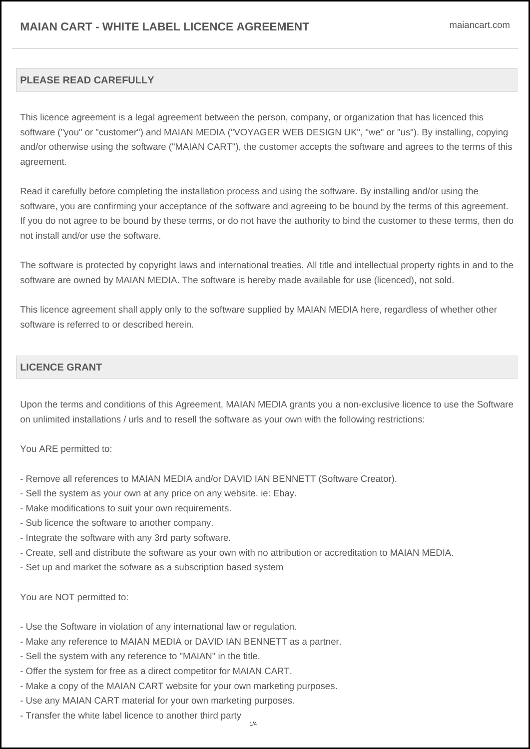# **PLEASE READ CAREFULLY**

This licence agreement is a legal agreement between the person, company, or organization that has licenced this software ("you" or "customer") and MAIAN MEDIA ("VOYAGER WEB DESIGN UK", "we" or "us"). By installing, copying and/or otherwise using the software ("MAIAN CART"), the customer accepts the software and agrees to the terms of this agreement.

Read it carefully before completing the installation process and using the software. By installing and/or using the software, you are confirming your acceptance of the software and agreeing to be bound by the terms of this agreement. If you do not agree to be bound by these terms, or do not have the authority to bind the customer to these terms, then do not install and/or use the software.

The software is protected by copyright laws and international treaties. All title and intellectual property rights in and to the software are owned by MAIAN MEDIA. The software is hereby made available for use (licenced), not sold.

This licence agreement shall apply only to the software supplied by MAIAN MEDIA here, regardless of whether other software is referred to or described herein.

# **LICENCE GRANT**

Upon the terms and conditions of this Agreement, MAIAN MEDIA grants you a non-exclusive licence to use the Software on unlimited installations / urls and to resell the software as your own with the following restrictions:

You ARE permitted to:

- Remove all references to MAIAN MEDIA and/or DAVID IAN BENNETT (Software Creator).
- Sell the system as your own at any price on any website. ie: Ebay.
- Make modifications to suit your own requirements.
- Sub licence the software to another company.
- Integrate the software with any 3rd party software.
- Create, sell and distribute the software as your own with no attribution or accreditation to MAIAN MEDIA.
- Set up and market the sofware as a subscription based system

You are NOT permitted to:

- Use the Software in violation of any international law or regulation.
- Make any reference to MAIAN MEDIA or DAVID IAN BENNETT as a partner.
- Sell the system with any reference to "MAIAN" in the title.
- Offer the system for free as a direct competitor for MAIAN CART.
- Make a copy of the MAIAN CART website for your own marketing purposes.
- Use any MAIAN CART material for your own marketing purposes.
- Transfer the white label licence to another third party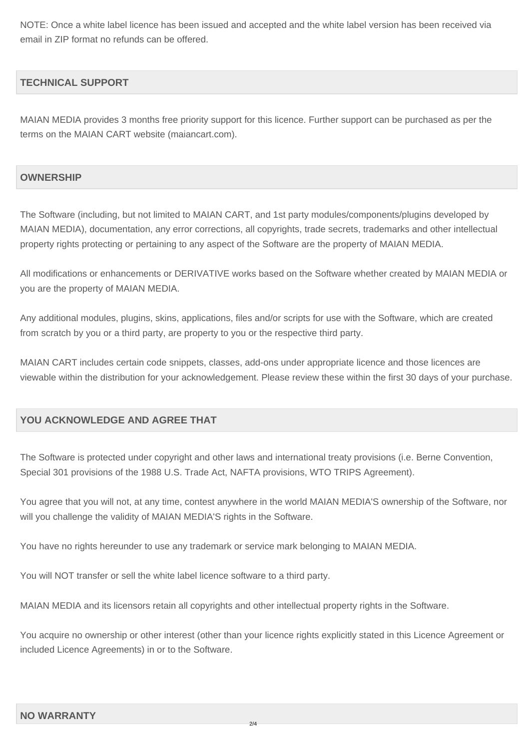NOTE: Once a white label licence has been issued and accepted and the white label version has been received via email in ZIP format no refunds can be offered.

### **TECHNICAL SUPPORT**

MAIAN MEDIA provides 3 months free priority support for this licence. Further support can be purchased as per the terms on the MAIAN CART website (maiancart.com).

#### **OWNERSHIP**

The Software (including, but not limited to MAIAN CART, and 1st party modules/components/plugins developed by MAIAN MEDIA), documentation, any error corrections, all copyrights, trade secrets, trademarks and other intellectual property rights protecting or pertaining to any aspect of the Software are the property of MAIAN MEDIA.

All modifications or enhancements or DERIVATIVE works based on the Software whether created by MAIAN MEDIA or you are the property of MAIAN MEDIA.

Any additional modules, plugins, skins, applications, files and/or scripts for use with the Software, which are created from scratch by you or a third party, are property to you or the respective third party.

MAIAN CART includes certain code snippets, classes, add-ons under appropriate licence and those licences are viewable within the distribution for your acknowledgement. Please review these within the first 30 days of your purchase.

### **YOU ACKNOWLEDGE AND AGREE THAT**

The Software is protected under copyright and other laws and international treaty provisions (i.e. Berne Convention, Special 301 provisions of the 1988 U.S. Trade Act, NAFTA provisions, WTO TRIPS Agreement).

You agree that you will not, at any time, contest anywhere in the world MAIAN MEDIA'S ownership of the Software, nor will you challenge the validity of MAIAN MEDIA'S rights in the Software.

You have no rights hereunder to use any trademark or service mark belonging to MAIAN MEDIA.

You will NOT transfer or sell the white label licence software to a third party.

MAIAN MEDIA and its licensors retain all copyrights and other intellectual property rights in the Software.

You acquire no ownership or other interest (other than your licence rights explicitly stated in this Licence Agreement or included Licence Agreements) in or to the Software.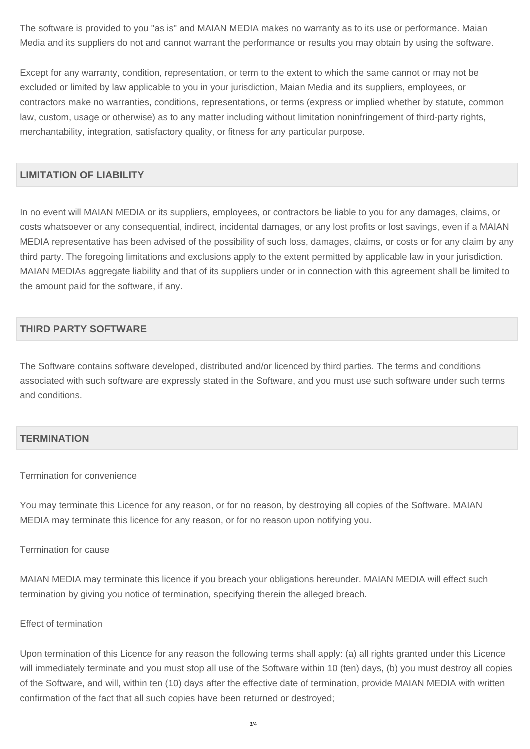The software is provided to you "as is" and MAIAN MEDIA makes no warranty as to its use or performance. Maian Media and its suppliers do not and cannot warrant the performance or results you may obtain by using the software.

Except for any warranty, condition, representation, or term to the extent to which the same cannot or may not be excluded or limited by law applicable to you in your jurisdiction, Maian Media and its suppliers, employees, or contractors make no warranties, conditions, representations, or terms (express or implied whether by statute, common law, custom, usage or otherwise) as to any matter including without limitation noninfringement of third-party rights, merchantability, integration, satisfactory quality, or fitness for any particular purpose.

### **LIMITATION OF LIABILITY**

In no event will MAIAN MEDIA or its suppliers, employees, or contractors be liable to you for any damages, claims, or costs whatsoever or any consequential, indirect, incidental damages, or any lost profits or lost savings, even if a MAIAN MEDIA representative has been advised of the possibility of such loss, damages, claims, or costs or for any claim by any third party. The foregoing limitations and exclusions apply to the extent permitted by applicable law in your jurisdiction. MAIAN MEDIAs aggregate liability and that of its suppliers under or in connection with this agreement shall be limited to the amount paid for the software, if any.

## **THIRD PARTY SOFTWARE**

The Software contains software developed, distributed and/or licenced by third parties. The terms and conditions associated with such software are expressly stated in the Software, and you must use such software under such terms and conditions.

# **TERMINATION**

#### Termination for convenience

You may terminate this Licence for any reason, or for no reason, by destroying all copies of the Software. MAIAN MEDIA may terminate this licence for any reason, or for no reason upon notifying you.

#### Termination for cause

MAIAN MEDIA may terminate this licence if you breach your obligations hereunder. MAIAN MEDIA will effect such termination by giving you notice of termination, specifying therein the alleged breach.

#### Effect of termination

Upon termination of this Licence for any reason the following terms shall apply: (a) all rights granted under this Licence will immediately terminate and you must stop all use of the Software within 10 (ten) days, (b) you must destroy all copies of the Software, and will, within ten (10) days after the effective date of termination, provide MAIAN MEDIA with written confirmation of the fact that all such copies have been returned or destroyed;